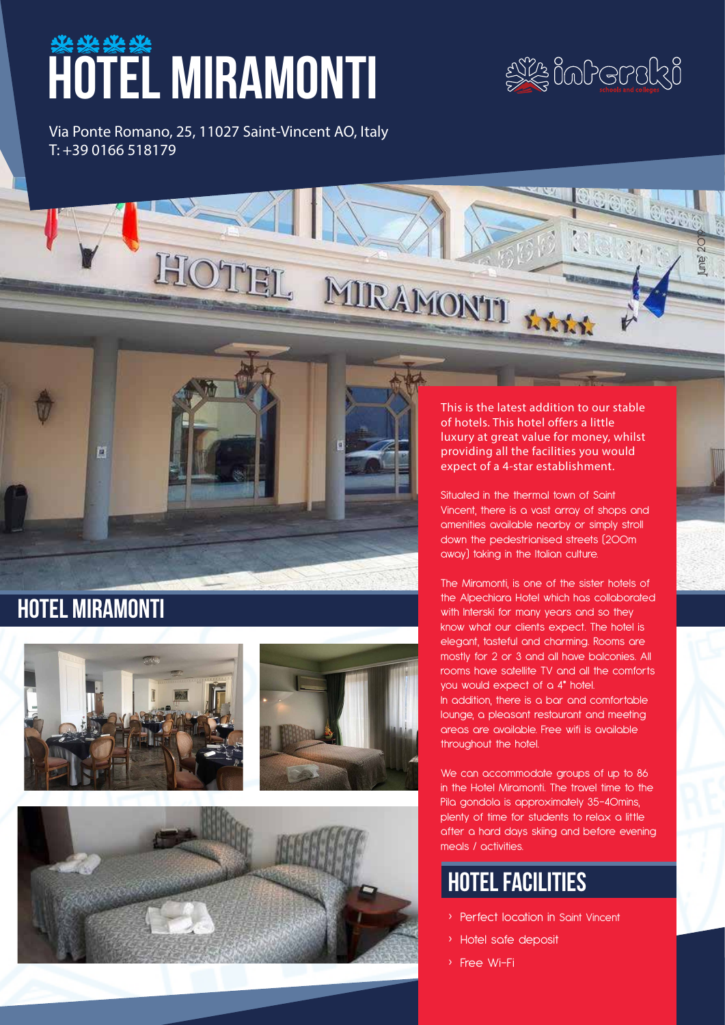# **\*\*\*\*** MIRAMONTI

**JE inherski** 

June 2019

Via Ponte Romano, 25, 11027 Saint-Vincent AO, Italy T: +39 0166 518179



# hotel miramonti





This is the latest addition to our stable of hotels. This hotel offers a little luxury at great value for money, whilst providing all the facilities you would expect of a 4-star establishment.

Situated in the thermal town of Saint Vincent, there is a vast array of shops and amenities available nearby or simply stroll down the pedestrianised streets (200m away) taking in the Italian culture.

The Miramonti, is one of the sister hotels of the Alpechiara Hotel which has collaborated with Interski for many years and so they know what our clients expect. The hotel is elegant, tasteful and charming. Rooms are mostly for 2 or 3 and all have balconies. All rooms have satellite TV and all the comforts you would expect of a 4\* hotel. In addition, there is a bar and comfortable lounge, a pleasant restaurant and meeting areas are available. Free wifi is available throughout the hotel.

We can accommodate groups of up to 86 in the Hotel Miramonti. The travel time to the Pila gondola is approximately 35-40mins, plenty of time for students to relax a little after a hard days skiing and before evening meals / activities.

# hotel facilities

- › Perfect location in Saint Vincent
- › Hotel safe deposit
- › Free Wi-Fi